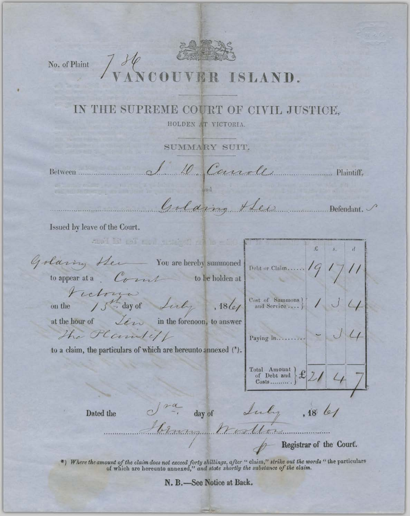No. of Plaint 7 H ISLAND.

## IN THE SUPREME COURT OF CIVIL JUSTICE.

HOLDEN AT VICTORIA.

SUMMARY SUIT.

Between

1 10 Canole Plaintiff,

Golding Hels Defendant.

Issued by leave of the Court.

and it is not need and still with £ Goldring Her You are hereby summoned Debt or Claim.......  $\sqrt{q}$ to appear at a  $\mathcal{C}_{\ell}$  can be holden at Fictoria Cost of Sammons  $\Big|\Big|$  /  $\Big|$ 15th day of Linky  $,18($ on the at the hour of *Lew* in the forenoon, to answer The Plantiff Paying in.......... to a claim, the particulars of which are hereunto annexed (\*).  $\left.\begin{array}{l}\n\text{Total Amount} \\
\text{of Debt and} \\
\text{Costs.}\n\end{array}\right\} \mathcal{L} \left| \begin{array}{c|c} \mathcal{L} & \mathcal{L} \\
\end{array} \right|$ d<sup>ra</sup>, day of Luly , 18 les Dated the - Registrar of the Court.

\*) Where the amount of the claim does not exceed forty shillings, after "claim," strike out the words "the particulars of which are hereunto annexed," and state shortly the substance of the claim.

N. B.-See Notice at Back.